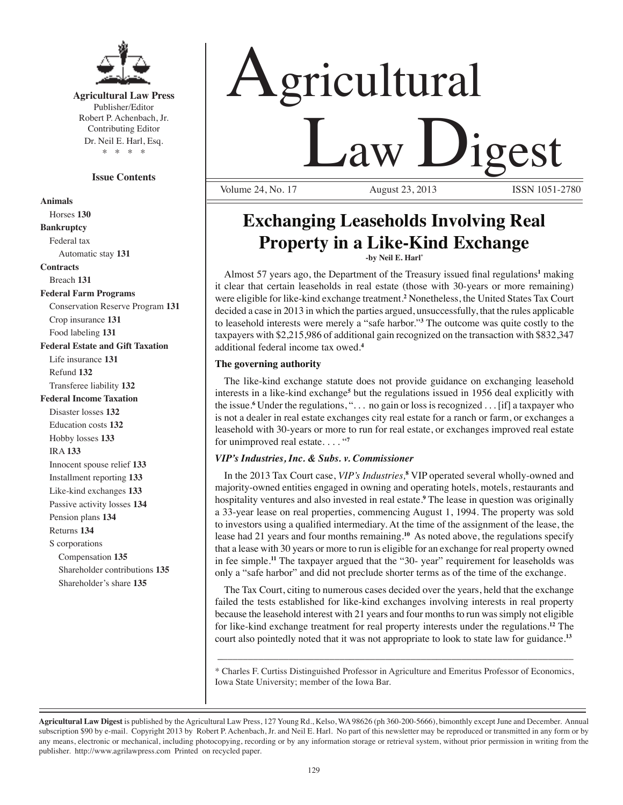

**Agricultural Law Press** Publisher/Editor Robert P. Achenbach, Jr. Contributing Editor Dr. Neil E. Harl, Esq. \* \* \* \*

#### **Issue Contents**

**Animals** Horses **130 Bankruptcy** Federal tax Automatic stay **131 Contracts** Breach **131 Federal Farm Programs** Conservation Reserve Program **131** Crop insurance **131** Food labeling **131 Federal Estate and Gift Taxation** Life insurance **131** Refund **132** Transferee liability **132 Federal Income Taxation** Disaster losses **132** Education costs **132** Hobby losses **133** IRA **133** Innocent spouse relief **133** Installment reporting **133** Like-kind exchanges **133** Passive activity losses **134** Pension plans **134** Returns **134** S corporations Compensation **135** Shareholder contributions **135** Shareholder's share **135**

# Agricultural **Law Digest** Volume 24, No. 17

**Exchanging Leaseholds Involving Real Property in a Like-Kind Exchange**

**-by Neil E. Harl\*** 

Almost 57 years ago, the Department of the Treasury issued final regulations<sup>1</sup> making it clear that certain leaseholds in real estate (those with 30-years or more remaining) were eligible for like-kind exchange treatment.**<sup>2</sup>** Nonetheless, the United States Tax Court decided a case in 2013 in which the parties argued, unsuccessfully, that the rules applicable to leasehold interests were merely a "safe harbor."**<sup>3</sup>** The outcome was quite costly to the taxpayers with \$2,215,986 of additional gain recognized on the transaction with \$832,347 additional federal income tax owed.**<sup>4</sup>**

#### **The governing authority**

The like-kind exchange statute does not provide guidance on exchanging leasehold interests in a like-kind exchange**<sup>5</sup>** but the regulations issued in 1956 deal explicitly with the issue.**<sup>6</sup>** Under the regulations, ". . . no gain or loss is recognized . . . [if] a taxpayer who is not a dealer in real estate exchanges city real estate for a ranch or farm, or exchanges a leasehold with 30-years or more to run for real estate, or exchanges improved real estate for unimproved real estate. . . . "**<sup>7</sup>**

#### *VIP's Industries, Inc. & Subs. v. Commissioner*

In the 2013 Tax Court case, *VIP's Industries,***<sup>8</sup>** VIP operated several wholly-owned and majority-owned entities engaged in owning and operating hotels, motels, restaurants and hospitality ventures and also invested in real estate.**<sup>9</sup>** The lease in question was originally a 33-year lease on real properties, commencing August 1, 1994. The property was sold to investors using a qualified intermediary. At the time of the assignment of the lease, the lease had 21 years and four months remaining.**<sup>10</sup>** As noted above, the regulations specify that a lease with 30 years or more to run is eligible for an exchange for real property owned in fee simple.**<sup>11</sup>** The taxpayer argued that the "30- year" requirement for leaseholds was only a "safe harbor" and did not preclude shorter terms as of the time of the exchange.

The Tax Court, citing to numerous cases decided over the years, held that the exchange failed the tests established for like-kind exchanges involving interests in real property because the leasehold interest with 21 years and four months to run was simply not eligible for like-kind exchange treatment for real property interests under the regulations.**<sup>12</sup>** The court also pointedly noted that it was not appropriate to look to state law for guidance.**<sup>13</sup>**

\* Charles F. Curtiss Distinguished Professor in Agriculture and Emeritus Professor of Economics, Iowa State University; member of the Iowa Bar.

\_\_\_\_\_\_\_\_\_\_\_\_\_\_\_\_\_\_\_\_\_\_\_\_\_\_\_\_\_\_\_\_\_\_\_\_\_\_\_\_\_\_\_\_\_\_\_\_\_\_\_\_\_\_\_\_\_\_\_\_\_\_\_\_\_\_\_\_\_\_

**Agricultural Law Digest** is published by the Agricultural Law Press, 127 Young Rd., Kelso, WA 98626 (ph 360-200-5666), bimonthly except June and December. Annual subscription \$90 by e-mail. Copyright 2013 by Robert P. Achenbach, Jr. and Neil E. Harl. No part of this newsletter may be reproduced or transmitted in any form or by any means, electronic or mechanical, including photocopying, recording or by any information storage or retrieval system, without prior permission in writing from the publisher. http://www.agrilawpress.com Printed on recycled paper.